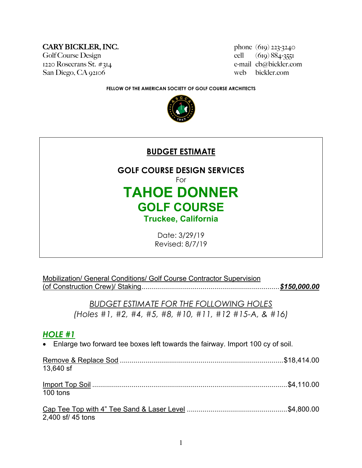#### $CARY BICKLER, INC.$  phone  $(619)$  223-3240

Golf Course Design cell (619) 884-3551 San Diego, CA 92106 web bickler.com

1220 Rosecrans St. #314 e-mail cb@bickler.com

**FELLOW OF THE AMERICAN SOCIETY OF GOLF COURSE ARCHITECTS**





Mobilization/ General Conditions/ Golf Course Contractor Supervision (of Construction Crew)/ Staking......................................................................*\$150,000.00*

> *BUDGET ESTIMATE FOR THE FOLLOWING HOLES (Holes #1, #2, #4, #5, #8, #10, #11, #12 #15-A, & #16)*

## *HOLE #1*

• Enlarge two forward tee boxes left towards the fairway. Import 100 cy of soil.

| 13,640 sf         |  |
|-------------------|--|
|                   |  |
|                   |  |
| 100 tons          |  |
|                   |  |
|                   |  |
| 2,400 sf/ 45 tons |  |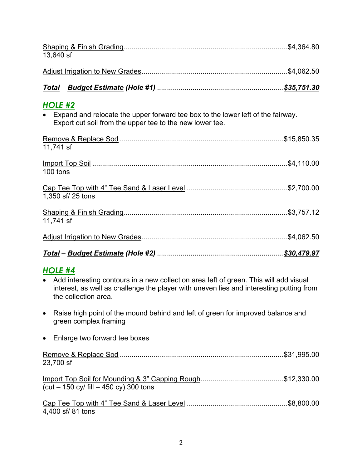| 13,640 sf                                                                                                                                                                                                                               |  |
|-----------------------------------------------------------------------------------------------------------------------------------------------------------------------------------------------------------------------------------------|--|
|                                                                                                                                                                                                                                         |  |
|                                                                                                                                                                                                                                         |  |
| <u>HOLE #2</u><br>• Expand and relocate the upper forward tee box to the lower left of the fairway.<br>Export cut soil from the upper tee to the new lower tee.                                                                         |  |
| 11,741 sf                                                                                                                                                                                                                               |  |
| 100 tons                                                                                                                                                                                                                                |  |
| 1,350 sf/ 25 tons                                                                                                                                                                                                                       |  |
| 11,741 sf                                                                                                                                                                                                                               |  |
|                                                                                                                                                                                                                                         |  |
|                                                                                                                                                                                                                                         |  |
| <b>HOLE #4</b><br>Add interesting contours in a new collection area left of green. This will add visual<br>$\bullet$<br>interest, as well as challenge the player with uneven lies and interesting putting from<br>the collection area. |  |
| Raise high point of the mound behind and left of green for improved balance and<br>$\bullet$<br>green complex framing                                                                                                                   |  |
| Enlarge two forward tee boxes<br>$\bullet$                                                                                                                                                                                              |  |
| 23,700 sf                                                                                                                                                                                                                               |  |
| $cut - 150$ cy/ fill $- 450$ cy) 300 tons                                                                                                                                                                                               |  |
|                                                                                                                                                                                                                                         |  |

4,400 sf/ 81 tons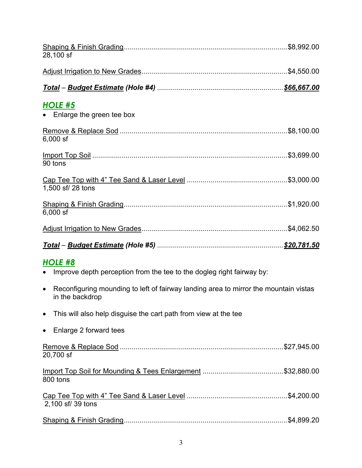| 28,100 sf                                                                                                            |  |
|----------------------------------------------------------------------------------------------------------------------|--|
|                                                                                                                      |  |
|                                                                                                                      |  |
| <b>HOLE #5</b><br>Enlarge the green tee box<br>$\bullet$                                                             |  |
| $6,000$ sf                                                                                                           |  |
| 90 tons                                                                                                              |  |
| 1,500 sf/ 28 tons                                                                                                    |  |
| $6,000$ sf                                                                                                           |  |
|                                                                                                                      |  |
|                                                                                                                      |  |
|                                                                                                                      |  |
| HOLE #8                                                                                                              |  |
| Improve depth perception from the tee to the dogleg right fairway by:<br>$\bullet$                                   |  |
| Reconfiguring mounding to left of fairway landing area to mirror the mountain vistas<br>$\bullet$<br>in the backdrop |  |
| This will also help disguise the cart path from view at the tee<br>$\bullet$                                         |  |
| Enlarge 2 forward tees<br>$\bullet$                                                                                  |  |
| 20,700 sf                                                                                                            |  |
| 800 tons                                                                                                             |  |
| 2,100 sf/ 39 tons                                                                                                    |  |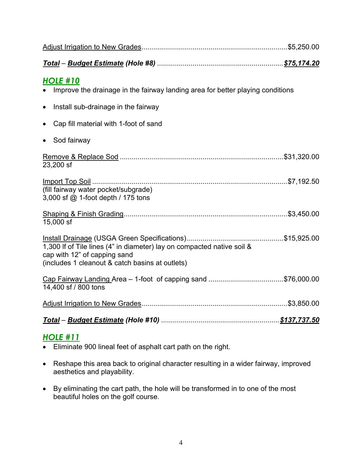| <u>HOLE #10</u><br>Improve the drainage in the fairway landing area for better playing conditions                                                         |  |
|-----------------------------------------------------------------------------------------------------------------------------------------------------------|--|
| Install sub-drainage in the fairway<br>$\bullet$                                                                                                          |  |
| Cap fill material with 1-foot of sand<br>$\bullet$                                                                                                        |  |
| Sod fairway<br>$\bullet$                                                                                                                                  |  |
| 23,200 sf                                                                                                                                                 |  |
| (fill fairway water pocket/subgrade)<br>3,000 sf @ 1-foot depth / 175 tons                                                                                |  |
| 15,000 sf                                                                                                                                                 |  |
| 1,300 If of Tile lines (4" in diameter) lay on compacted native soil &<br>cap with 12" of capping sand<br>(includes 1 cleanout & catch basins at outlets) |  |
| Cap Fairway Landing Area - 1-foot of capping sand \$76,000.00<br>14,400 sf / 800 tons                                                                     |  |
|                                                                                                                                                           |  |
|                                                                                                                                                           |  |
|                                                                                                                                                           |  |

## *HOLE #11*

- Eliminate 900 lineal feet of asphalt cart path on the right.
- Reshape this area back to original character resulting in a wider fairway, improved aesthetics and playability.
- By eliminating the cart path, the hole will be transformed in to one of the most beautiful holes on the golf course.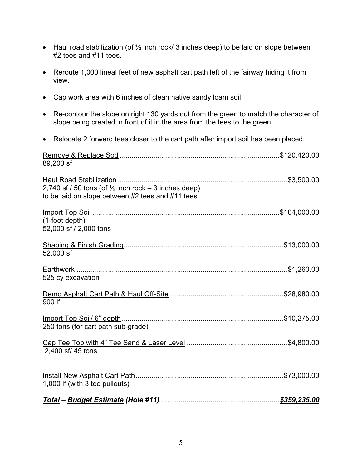- Haul road stabilization (of  $\frac{1}{2}$  inch rock/ 3 inches deep) to be laid on slope between #2 tees and #11 tees.
- Reroute 1,000 lineal feet of new asphalt cart path left of the fairway hiding it from view.
- Cap work area with 6 inches of clean native sandy loam soil.
- Re-contour the slope on right 130 yards out from the green to match the character of slope being created in front of it in the area from the tees to the green.
- Relocate 2 forward tees closer to the cart path after import soil has been placed.

| 89,200 sf                                                                                                           |  |
|---------------------------------------------------------------------------------------------------------------------|--|
| 2,740 sf / 50 tons (of $\frac{1}{2}$ inch rock – 3 inches deep)<br>to be laid on slope between #2 tees and #11 tees |  |
| $(1$ -foot depth $)$<br>52,000 sf / 2,000 tons                                                                      |  |
| 52,000 sf                                                                                                           |  |
| 525 cy excavation                                                                                                   |  |
| 900 If                                                                                                              |  |
| 250 tons (for cart path sub-grade)                                                                                  |  |
| 2,400 sf/ 45 tons                                                                                                   |  |
| 1,000 If (with 3 tee pullouts)                                                                                      |  |
|                                                                                                                     |  |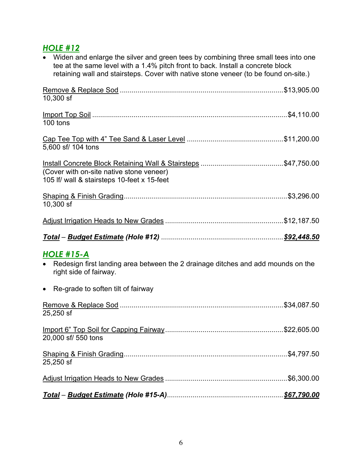# *HOLE #12*

| • Widen and enlarge the silver and green tees by combining three small tees into one<br>tee at the same level with a 1.4% pitch front to back. Install a concrete block<br>retaining wall and stairsteps. Cover with native stone veneer (to be found on-site.) |
|-----------------------------------------------------------------------------------------------------------------------------------------------------------------------------------------------------------------------------------------------------------------|
| $10,300$ sf                                                                                                                                                                                                                                                     |
| 100 tons                                                                                                                                                                                                                                                        |
| 5,600 sf/ 104 tons                                                                                                                                                                                                                                              |
| (Cover with on-site native stone veneer)<br>105 If/ wall & stairsteps 10-feet x 15-feet                                                                                                                                                                         |
| 10,300 sf                                                                                                                                                                                                                                                       |
|                                                                                                                                                                                                                                                                 |
|                                                                                                                                                                                                                                                                 |
| <b>HOLE #15-A</b><br>Redesign first landing area between the 2 drainage ditches and add mounds on the<br>$\bullet$<br>right side of fairway.                                                                                                                    |
| • Re-grade to soften tilt of fairway                                                                                                                                                                                                                            |
| 25,250 sf                                                                                                                                                                                                                                                       |
| 20,000 sf/ 550 tons                                                                                                                                                                                                                                             |
| 25,250 sf                                                                                                                                                                                                                                                       |
|                                                                                                                                                                                                                                                                 |
|                                                                                                                                                                                                                                                                 |